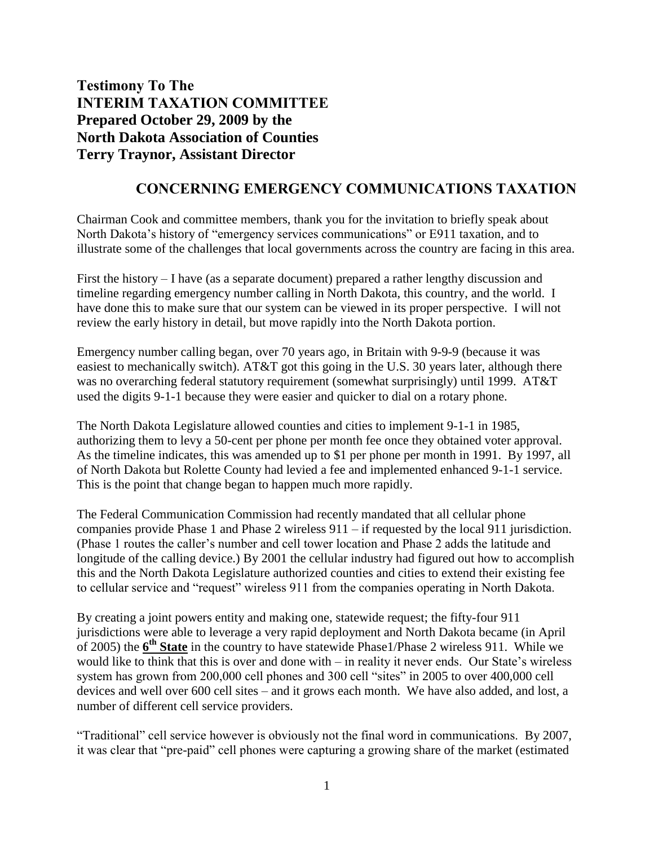**Testimony To The INTERIM TAXATION COMMITTEE Prepared October 29, 2009 by the North Dakota Association of Counties Terry Traynor, Assistant Director**

## **CONCERNING EMERGENCY COMMUNICATIONS TAXATION**

Chairman Cook and committee members, thank you for the invitation to briefly speak about North Dakota's history of "emergency services communications" or E911 taxation, and to illustrate some of the challenges that local governments across the country are facing in this area.

First the history – I have (as a separate document) prepared a rather lengthy discussion and timeline regarding emergency number calling in North Dakota, this country, and the world. I have done this to make sure that our system can be viewed in its proper perspective. I will not review the early history in detail, but move rapidly into the North Dakota portion.

Emergency number calling began, over 70 years ago, in Britain with 9-9-9 (because it was easiest to mechanically switch). AT&T got this going in the U.S. 30 years later, although there was no overarching federal statutory requirement (somewhat surprisingly) until 1999. AT&T used the digits 9-1-1 because they were easier and quicker to dial on a rotary phone.

The North Dakota Legislature allowed counties and cities to implement 9-1-1 in 1985, authorizing them to levy a 50-cent per phone per month fee once they obtained voter approval. As the timeline indicates, this was amended up to \$1 per phone per month in 1991. By 1997, all of North Dakota but Rolette County had levied a fee and implemented enhanced 9-1-1 service. This is the point that change began to happen much more rapidly.

The Federal Communication Commission had recently mandated that all cellular phone companies provide Phase 1 and Phase 2 wireless  $911 - if$  requested by the local 911 jurisdiction. (Phase 1 routes the caller's number and cell tower location and Phase 2 adds the latitude and longitude of the calling device.) By 2001 the cellular industry had figured out how to accomplish this and the North Dakota Legislature authorized counties and cities to extend their existing fee to cellular service and "request" wireless 911 from the companies operating in North Dakota.

By creating a joint powers entity and making one, statewide request; the fifty-four 911 jurisdictions were able to leverage a very rapid deployment and North Dakota became (in April of 2005) the **6<sup>th</sup> State** in the country to have statewide Phase1/Phase 2 wireless 911. While we would like to think that this is over and done with – in reality it never ends. Our State's wireless system has grown from 200,000 cell phones and 300 cell "sites" in 2005 to over 400,000 cell devices and well over 600 cell sites – and it grows each month. We have also added, and lost, a number of different cell service providers.

"Traditional" cell service however is obviously not the final word in communications. By 2007, it was clear that "pre-paid" cell phones were capturing a growing share of the market (estimated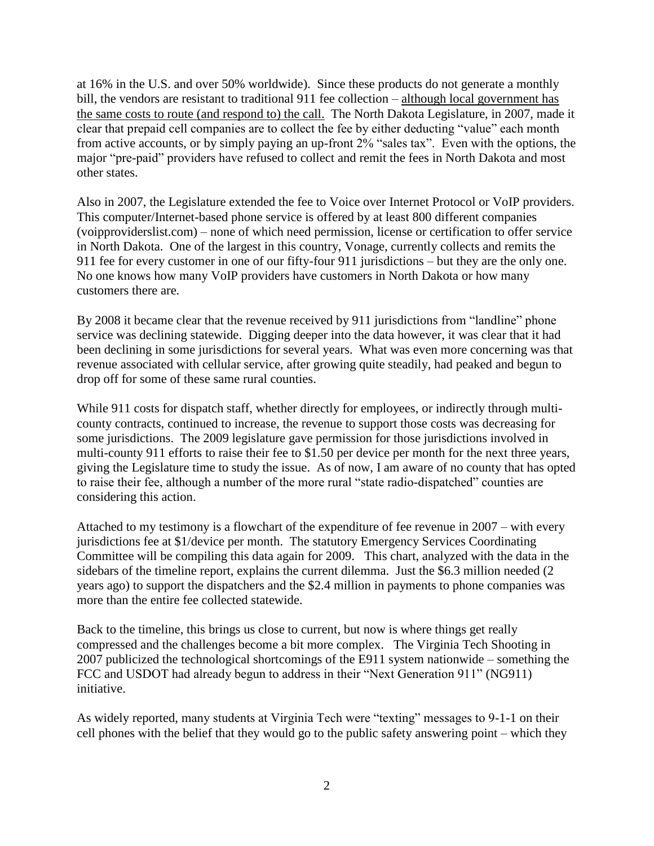at 16% in the U.S. and over 50% worldwide). Since these products do not generate a monthly bill, the vendors are resistant to traditional 911 fee collection – although local government has the same costs to route (and respond to) the call. The North Dakota Legislature, in 2007, made it clear that prepaid cell companies are to collect the fee by either deducting "value" each month from active accounts, or by simply paying an up-front 2% "sales tax". Even with the options, the major "pre-paid" providers have refused to collect and remit the fees in North Dakota and most other states.

Also in 2007, the Legislature extended the fee to Voice over Internet Protocol or VoIP providers. This computer/Internet-based phone service is offered by at least 800 different companies (voipproviderslist.com) – none of which need permission, license or certification to offer service in North Dakota. One of the largest in this country, Vonage, currently collects and remits the 911 fee for every customer in one of our fifty-four 911 jurisdictions – but they are the only one. No one knows how many VoIP providers have customers in North Dakota or how many customers there are.

By 2008 it became clear that the revenue received by 911 jurisdictions from "landline" phone service was declining statewide. Digging deeper into the data however, it was clear that it had been declining in some jurisdictions for several years. What was even more concerning was that revenue associated with cellular service, after growing quite steadily, had peaked and begun to drop off for some of these same rural counties.

While 911 costs for dispatch staff, whether directly for employees, or indirectly through multicounty contracts, continued to increase, the revenue to support those costs was decreasing for some jurisdictions. The 2009 legislature gave permission for those jurisdictions involved in multi-county 911 efforts to raise their fee to \$1.50 per device per month for the next three years, giving the Legislature time to study the issue. As of now, I am aware of no county that has opted to raise their fee, although a number of the more rural "state radio-dispatched" counties are considering this action.

Attached to my testimony is a flowchart of the expenditure of fee revenue in 2007 – with every jurisdictions fee at \$1/device per month. The statutory Emergency Services Coordinating Committee will be compiling this data again for 2009. This chart, analyzed with the data in the sidebars of the timeline report, explains the current dilemma. Just the \$6.3 million needed (2 years ago) to support the dispatchers and the \$2.4 million in payments to phone companies was more than the entire fee collected statewide.

Back to the timeline, this brings us close to current, but now is where things get really compressed and the challenges become a bit more complex. The Virginia Tech Shooting in 2007 publicized the technological shortcomings of the E911 system nationwide – something the FCC and USDOT had already begun to address in their "Next Generation 911" (NG911) initiative.

As widely reported, many students at Virginia Tech were "texting" messages to 9-1-1 on their cell phones with the belief that they would go to the public safety answering point – which they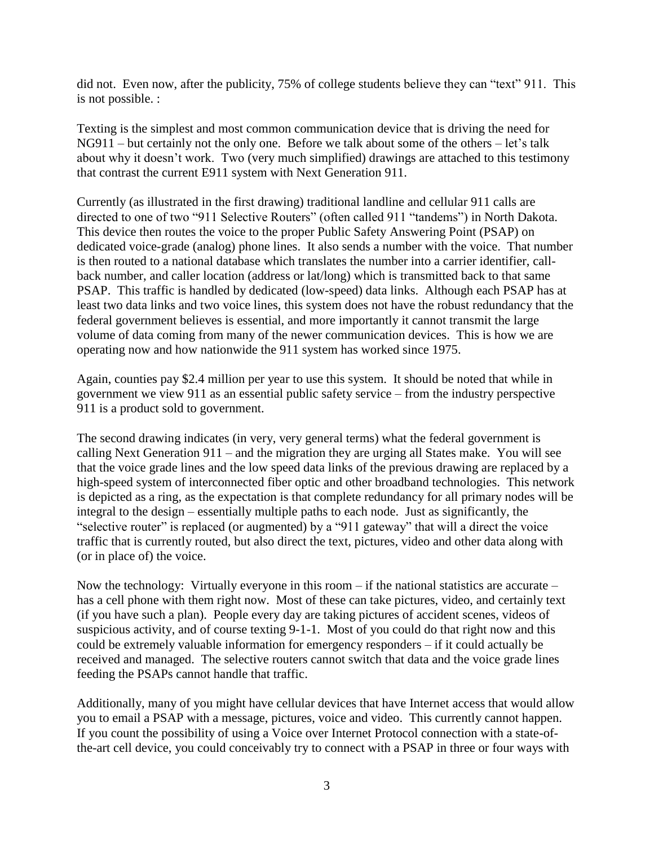did not. Even now, after the publicity, 75% of college students believe they can "text" 911. This is not possible. :

Texting is the simplest and most common communication device that is driving the need for NG911 – but certainly not the only one. Before we talk about some of the others – let's talk about why it doesn't work. Two (very much simplified) drawings are attached to this testimony that contrast the current E911 system with Next Generation 911.

Currently (as illustrated in the first drawing) traditional landline and cellular 911 calls are directed to one of two "911 Selective Routers" (often called 911 "tandems") in North Dakota. This device then routes the voice to the proper Public Safety Answering Point (PSAP) on dedicated voice-grade (analog) phone lines. It also sends a number with the voice. That number is then routed to a national database which translates the number into a carrier identifier, callback number, and caller location (address or lat/long) which is transmitted back to that same PSAP. This traffic is handled by dedicated (low-speed) data links. Although each PSAP has at least two data links and two voice lines, this system does not have the robust redundancy that the federal government believes is essential, and more importantly it cannot transmit the large volume of data coming from many of the newer communication devices. This is how we are operating now and how nationwide the 911 system has worked since 1975.

Again, counties pay \$2.4 million per year to use this system. It should be noted that while in government we view 911 as an essential public safety service – from the industry perspective 911 is a product sold to government.

The second drawing indicates (in very, very general terms) what the federal government is calling Next Generation 911 – and the migration they are urging all States make. You will see that the voice grade lines and the low speed data links of the previous drawing are replaced by a high-speed system of interconnected fiber optic and other broadband technologies. This network is depicted as a ring, as the expectation is that complete redundancy for all primary nodes will be integral to the design – essentially multiple paths to each node. Just as significantly, the "selective router" is replaced (or augmented) by a "911 gateway" that will a direct the voice traffic that is currently routed, but also direct the text, pictures, video and other data along with (or in place of) the voice.

Now the technology: Virtually everyone in this room – if the national statistics are accurate – has a cell phone with them right now. Most of these can take pictures, video, and certainly text (if you have such a plan). People every day are taking pictures of accident scenes, videos of suspicious activity, and of course texting 9-1-1. Most of you could do that right now and this could be extremely valuable information for emergency responders – if it could actually be received and managed. The selective routers cannot switch that data and the voice grade lines feeding the PSAPs cannot handle that traffic.

Additionally, many of you might have cellular devices that have Internet access that would allow you to email a PSAP with a message, pictures, voice and video. This currently cannot happen. If you count the possibility of using a Voice over Internet Protocol connection with a state-ofthe-art cell device, you could conceivably try to connect with a PSAP in three or four ways with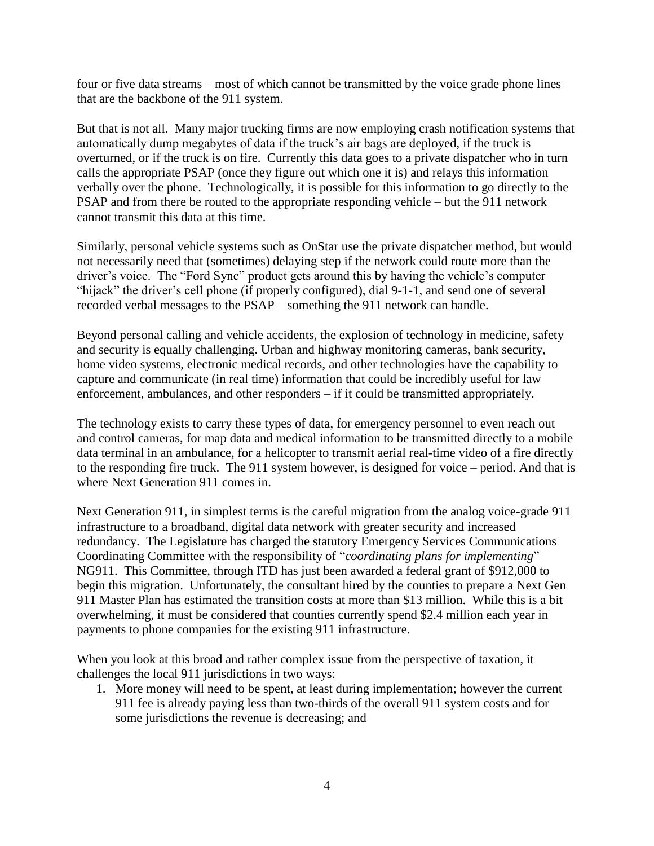four or five data streams – most of which cannot be transmitted by the voice grade phone lines that are the backbone of the 911 system.

But that is not all. Many major trucking firms are now employing crash notification systems that automatically dump megabytes of data if the truck's air bags are deployed, if the truck is overturned, or if the truck is on fire. Currently this data goes to a private dispatcher who in turn calls the appropriate PSAP (once they figure out which one it is) and relays this information verbally over the phone. Technologically, it is possible for this information to go directly to the PSAP and from there be routed to the appropriate responding vehicle – but the 911 network cannot transmit this data at this time.

Similarly, personal vehicle systems such as OnStar use the private dispatcher method, but would not necessarily need that (sometimes) delaying step if the network could route more than the driver's voice. The "Ford Sync" product gets around this by having the vehicle's computer "hijack" the driver's cell phone (if properly configured), dial 9-1-1, and send one of several recorded verbal messages to the PSAP – something the 911 network can handle.

Beyond personal calling and vehicle accidents, the explosion of technology in medicine, safety and security is equally challenging. Urban and highway monitoring cameras, bank security, home video systems, electronic medical records, and other technologies have the capability to capture and communicate (in real time) information that could be incredibly useful for law enforcement, ambulances, and other responders – if it could be transmitted appropriately.

The technology exists to carry these types of data, for emergency personnel to even reach out and control cameras, for map data and medical information to be transmitted directly to a mobile data terminal in an ambulance, for a helicopter to transmit aerial real-time video of a fire directly to the responding fire truck. The 911 system however, is designed for voice – period. And that is where Next Generation 911 comes in.

Next Generation 911, in simplest terms is the careful migration from the analog voice-grade 911 infrastructure to a broadband, digital data network with greater security and increased redundancy. The Legislature has charged the statutory Emergency Services Communications Coordinating Committee with the responsibility of "*coordinating plans for implementing*" NG911. This Committee, through ITD has just been awarded a federal grant of \$912,000 to begin this migration. Unfortunately, the consultant hired by the counties to prepare a Next Gen 911 Master Plan has estimated the transition costs at more than \$13 million. While this is a bit overwhelming, it must be considered that counties currently spend \$2.4 million each year in payments to phone companies for the existing 911 infrastructure.

When you look at this broad and rather complex issue from the perspective of taxation, it challenges the local 911 jurisdictions in two ways:

1. More money will need to be spent, at least during implementation; however the current 911 fee is already paying less than two-thirds of the overall 911 system costs and for some jurisdictions the revenue is decreasing; and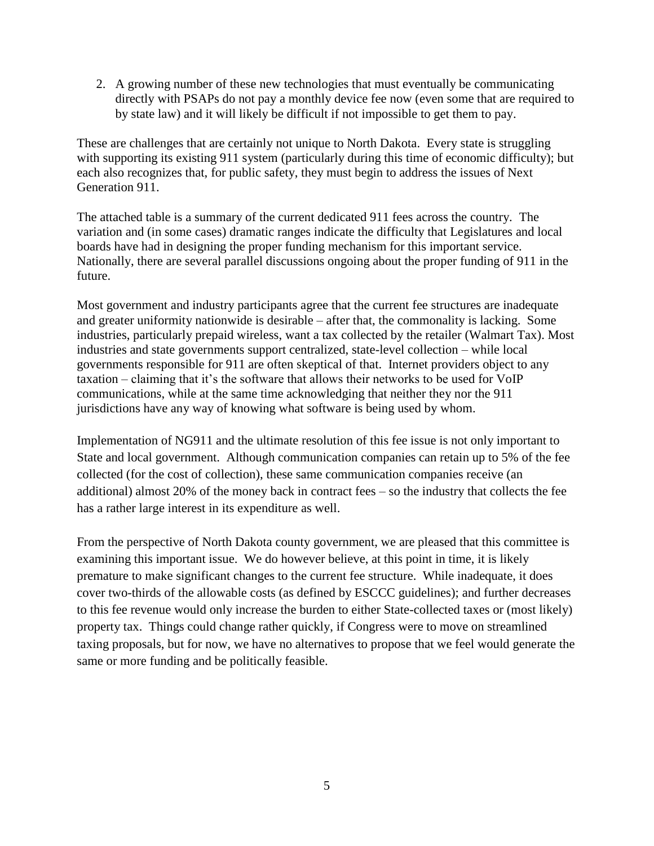2. A growing number of these new technologies that must eventually be communicating directly with PSAPs do not pay a monthly device fee now (even some that are required to by state law) and it will likely be difficult if not impossible to get them to pay.

These are challenges that are certainly not unique to North Dakota. Every state is struggling with supporting its existing 911 system (particularly during this time of economic difficulty); but each also recognizes that, for public safety, they must begin to address the issues of Next Generation 911.

The attached table is a summary of the current dedicated 911 fees across the country. The variation and (in some cases) dramatic ranges indicate the difficulty that Legislatures and local boards have had in designing the proper funding mechanism for this important service. Nationally, there are several parallel discussions ongoing about the proper funding of 911 in the future.

Most government and industry participants agree that the current fee structures are inadequate and greater uniformity nationwide is desirable – after that, the commonality is lacking. Some industries, particularly prepaid wireless, want a tax collected by the retailer (Walmart Tax). Most industries and state governments support centralized, state-level collection – while local governments responsible for 911 are often skeptical of that. Internet providers object to any taxation – claiming that it's the software that allows their networks to be used for VoIP communications, while at the same time acknowledging that neither they nor the 911 jurisdictions have any way of knowing what software is being used by whom.

Implementation of NG911 and the ultimate resolution of this fee issue is not only important to State and local government. Although communication companies can retain up to 5% of the fee collected (for the cost of collection), these same communication companies receive (an additional) almost 20% of the money back in contract fees – so the industry that collects the fee has a rather large interest in its expenditure as well.

From the perspective of North Dakota county government, we are pleased that this committee is examining this important issue. We do however believe, at this point in time, it is likely premature to make significant changes to the current fee structure. While inadequate, it does cover two-thirds of the allowable costs (as defined by ESCCC guidelines); and further decreases to this fee revenue would only increase the burden to either State-collected taxes or (most likely) property tax. Things could change rather quickly, if Congress were to move on streamlined taxing proposals, but for now, we have no alternatives to propose that we feel would generate the same or more funding and be politically feasible.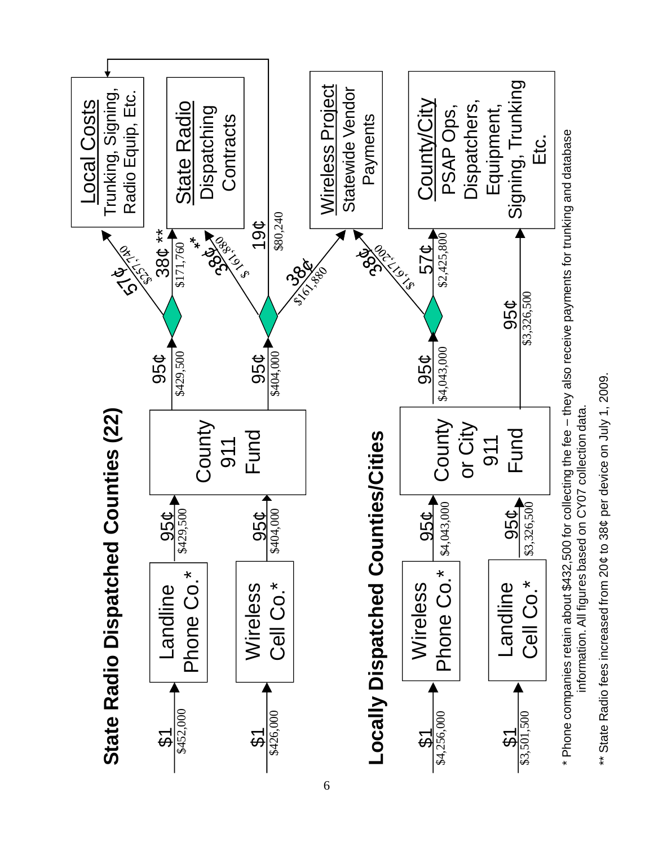

\* Phone companies retain about \$432,500 for collecting the fee – they also receive payments for trunking and database \* Phone companies retain about \$432,500 for collecting the fee - they also receive payments for trunking and database information. All figures based on CY07 collection data. information. All figures based on CY07 collection data.

\*\* State Radio fees increased from 20¢ to 38¢ per device on July 1, 2009. \*\* State Radio fees increased from 20¢ to 38¢ per device on July 1, 2009.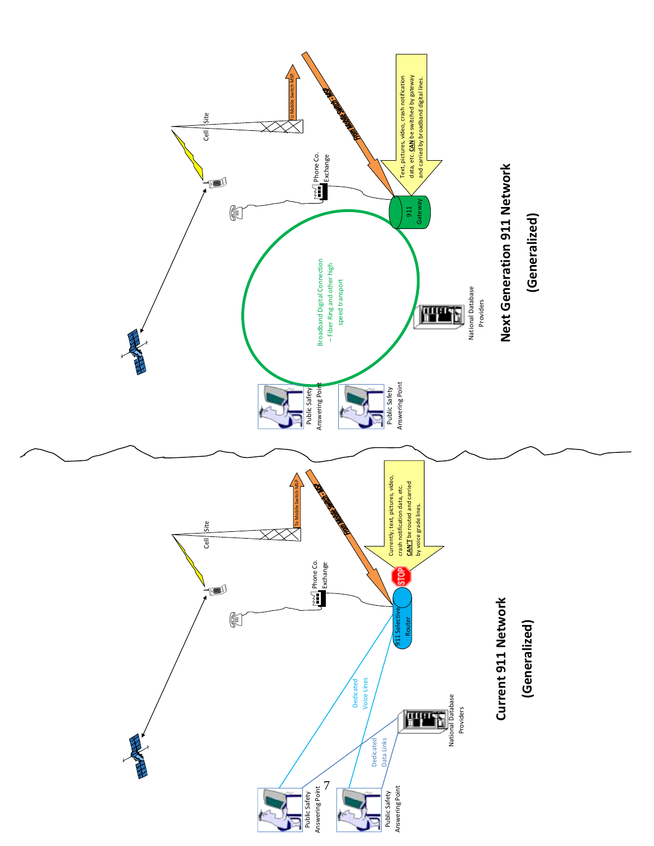